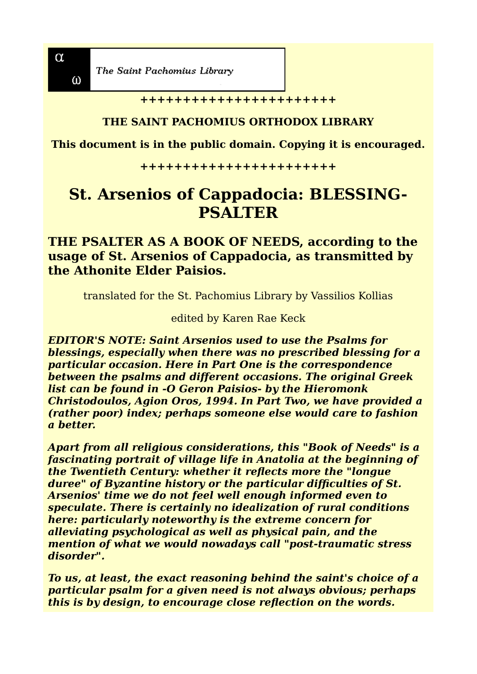$\omega$ 

The Saint Pachomius Library

**+++++++++++++++++++++++**

#### **THE SAINT PACHOMIUS ORTHODOX LIBRARY**

**This document is in the public domain. Copying it is encouraged.**

**+++++++++++++++++++++++**

# **St. Arsenios of Cappadocia: BLESSING-PSALTER**

## **THE PSALTER AS A BOOK OF NEEDS, according to the usage of St. Arsenios of Cappadocia, as transmitted by the Athonite Elder Paisios.**

translated for the St. Pachomius Library by Vassilios Kollias

edited by Karen Rae Keck

*EDITOR'S NOTE: Saint Arsenios used to use the Psalms for blessings, especially when there was no prescribed blessing for a particular occasion. Here in Part One is the correspondence between the psalms and different occasions. The original Greek list can be found in -O Geron Paisios- by the Hieromonk Christodoulos, Agion Oros, 1994. In Part Two, we have provided a (rather poor) index; perhaps someone else would care to fashion a better.*

*Apart from all religious considerations, this "Book of Needs" is a fascinating portrait of village life in Anatolia at the beginning of the Twentieth Century: whether it reflects more the "longue duree" of Byzantine history or the particular difficulties of St. Arsenios' time we do not feel well enough informed even to speculate. There is certainly no idealization of rural conditions here: particularly noteworthy is the extreme concern for alleviating psychological as well as physical pain, and the mention of what we would nowadays call "post-traumatic stress disorder".*

*To us, at least, the exact reasoning behind the saint's choice of a particular psalm for a given need is not always obvious; perhaps this is by design, to encourage close reflection on the words.*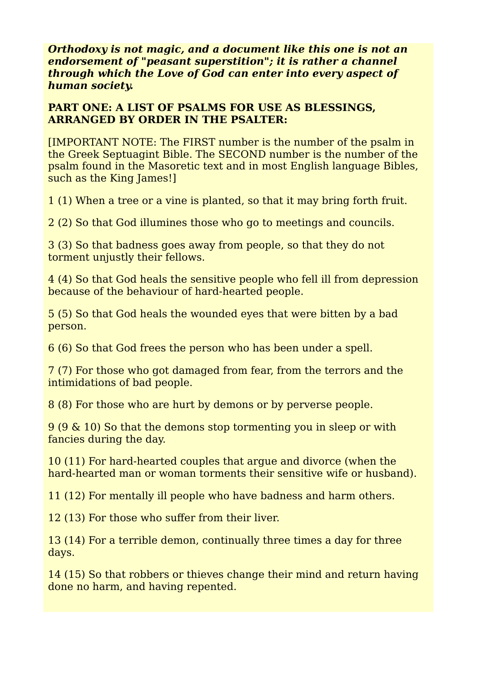*Orthodoxy is not magic, and a document like this one is not an endorsement of "peasant superstition"; it is rather a channel through which the Love of God can enter into every aspect of human society.*

## **PART ONE: A LIST OF PSALMS FOR USE AS BLESSINGS, ARRANGED BY ORDER IN THE PSALTER:**

[IMPORTANT NOTE: The FIRST number is the number of the psalm in the Greek Septuagint Bible. The SECOND number is the number of the psalm found in the Masoretic text and in most English language Bibles, such as the King James!]

1 (1) When a tree or a vine is planted, so that it may bring forth fruit.

2 (2) So that God illumines those who go to meetings and councils.

3 (3) So that badness goes away from people, so that they do not torment unjustly their fellows.

4 (4) So that God heals the sensitive people who fell ill from depression because of the behaviour of hard-hearted people.

5 (5) So that God heals the wounded eyes that were bitten by a bad person.

6 (6) So that God frees the person who has been under a spell.

7 (7) For those who got damaged from fear, from the terrors and the intimidations of bad people.

8 (8) For those who are hurt by demons or by perverse people.

9 (9 & 10) So that the demons stop tormenting you in sleep or with fancies during the day.

10 (11) For hard-hearted couples that argue and divorce (when the hard-hearted man or woman torments their sensitive wife or husband).

11 (12) For mentally ill people who have badness and harm others.

12 (13) For those who suffer from their liver.

13 (14) For a terrible demon, continually three times a day for three days.

14 (15) So that robbers or thieves change their mind and return having done no harm, and having repented.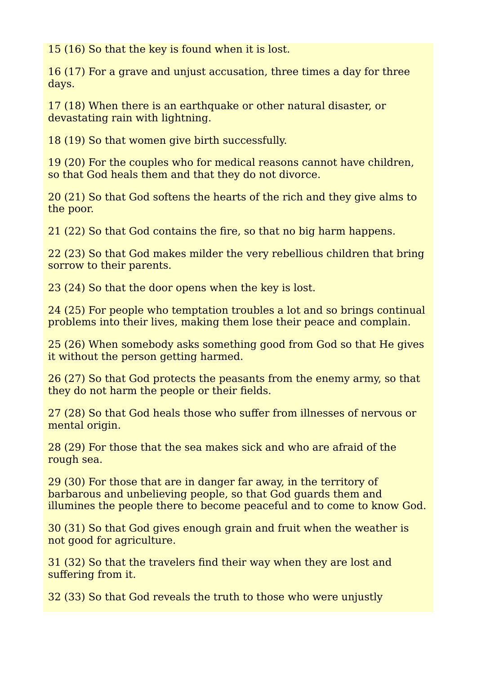15 (16) So that the key is found when it is lost.

16 (17) For a grave and unjust accusation, three times a day for three days.

17 (18) When there is an earthquake or other natural disaster, or devastating rain with lightning.

18 (19) So that women give birth successfully.

19 (20) For the couples who for medical reasons cannot have children, so that God heals them and that they do not divorce.

20 (21) So that God softens the hearts of the rich and they give alms to the poor.

21 (22) So that God contains the fire, so that no big harm happens.

22 (23) So that God makes milder the very rebellious children that bring sorrow to their parents.

23 (24) So that the door opens when the key is lost.

24 (25) For people who temptation troubles a lot and so brings continual problems into their lives, making them lose their peace and complain.

25 (26) When somebody asks something good from God so that He gives it without the person getting harmed.

26 (27) So that God protects the peasants from the enemy army, so that they do not harm the people or their fields.

27 (28) So that God heals those who suffer from illnesses of nervous or mental origin.

28 (29) For those that the sea makes sick and who are afraid of the rough sea.

29 (30) For those that are in danger far away, in the territory of barbarous and unbelieving people, so that God guards them and illumines the people there to become peaceful and to come to know God.

30 (31) So that God gives enough grain and fruit when the weather is not good for agriculture.

31 (32) So that the travelers find their way when they are lost and suffering from it.

32 (33) So that God reveals the truth to those who were unjustly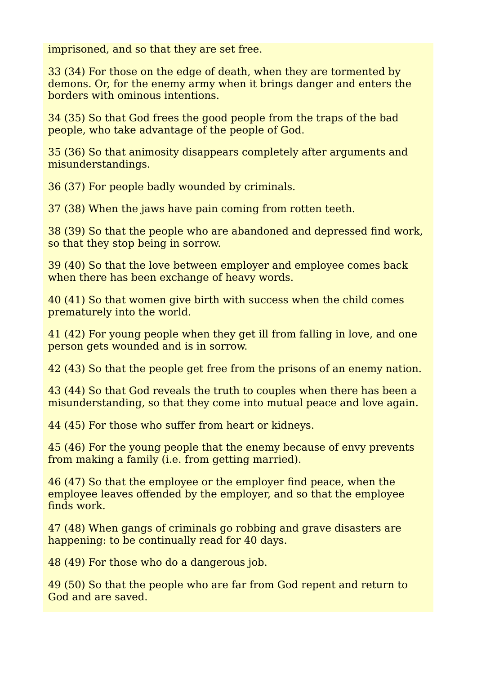imprisoned, and so that they are set free.

33 (34) For those on the edge of death, when they are tormented by demons. Or, for the enemy army when it brings danger and enters the borders with ominous intentions.

34 (35) So that God frees the good people from the traps of the bad people, who take advantage of the people of God.

35 (36) So that animosity disappears completely after arguments and misunderstandings.

36 (37) For people badly wounded by criminals.

37 (38) When the jaws have pain coming from rotten teeth.

38 (39) So that the people who are abandoned and depressed find work, so that they stop being in sorrow.

39 (40) So that the love between employer and employee comes back when there has been exchange of heavy words.

40 (41) So that women give birth with success when the child comes prematurely into the world.

41 (42) For young people when they get ill from falling in love, and one person gets wounded and is in sorrow.

42 (43) So that the people get free from the prisons of an enemy nation.

43 (44) So that God reveals the truth to couples when there has been a misunderstanding, so that they come into mutual peace and love again.

44 (45) For those who suffer from heart or kidneys.

45 (46) For the young people that the enemy because of envy prevents from making a family (i.e. from getting married).

46 (47) So that the employee or the employer find peace, when the employee leaves offended by the employer, and so that the employee finds work.

47 (48) When gangs of criminals go robbing and grave disasters are happening: to be continually read for 40 days.

48 (49) For those who do a dangerous job.

49 (50) So that the people who are far from God repent and return to God and are saved.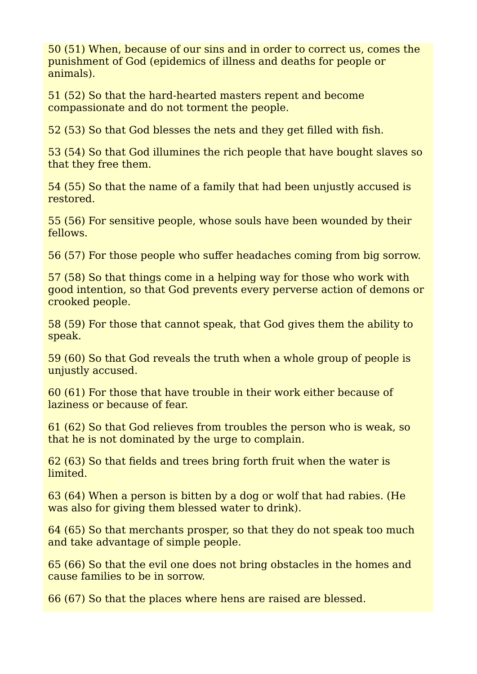50 (51) When, because of our sins and in order to correct us, comes the punishment of God (epidemics of illness and deaths for people or animals).

51 (52) So that the hard-hearted masters repent and become compassionate and do not torment the people.

52 (53) So that God blesses the nets and they get filled with fish.

53 (54) So that God illumines the rich people that have bought slaves so that they free them.

54 (55) So that the name of a family that had been unjustly accused is restored.

55 (56) For sensitive people, whose souls have been wounded by their fellows.

56 (57) For those people who suffer headaches coming from big sorrow.

57 (58) So that things come in a helping way for those who work with good intention, so that God prevents every perverse action of demons or crooked people.

58 (59) For those that cannot speak, that God gives them the ability to speak.

59 (60) So that God reveals the truth when a whole group of people is unjustly accused.

60 (61) For those that have trouble in their work either because of laziness or because of fear.

61 (62) So that God relieves from troubles the person who is weak, so that he is not dominated by the urge to complain.

62 (63) So that fields and trees bring forth fruit when the water is limited.

63 (64) When a person is bitten by a dog or wolf that had rabies. (He was also for giving them blessed water to drink).

64 (65) So that merchants prosper, so that they do not speak too much and take advantage of simple people.

65 (66) So that the evil one does not bring obstacles in the homes and cause families to be in sorrow.

66 (67) So that the places where hens are raised are blessed.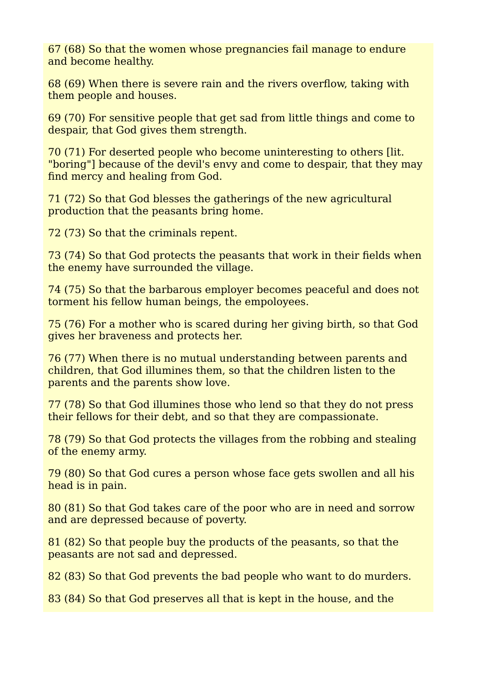67 (68) So that the women whose pregnancies fail manage to endure and become healthy.

68 (69) When there is severe rain and the rivers overflow, taking with them people and houses.

69 (70) For sensitive people that get sad from little things and come to despair, that God gives them strength.

70 (71) For deserted people who become uninteresting to others [lit. "boring"] because of the devil's envy and come to despair, that they may find mercy and healing from God.

71 (72) So that God blesses the gatherings of the new agricultural production that the peasants bring home.

72 (73) So that the criminals repent.

73 (74) So that God protects the peasants that work in their fields when the enemy have surrounded the village.

74 (75) So that the barbarous employer becomes peaceful and does not torment his fellow human beings, the empoloyees.

75 (76) For a mother who is scared during her giving birth, so that God gives her braveness and protects her.

76 (77) When there is no mutual understanding between parents and children, that God illumines them, so that the children listen to the parents and the parents show love.

77 (78) So that God illumines those who lend so that they do not press their fellows for their debt, and so that they are compassionate.

78 (79) So that God protects the villages from the robbing and stealing of the enemy army.

79 (80) So that God cures a person whose face gets swollen and all his head is in pain.

80 (81) So that God takes care of the poor who are in need and sorrow and are depressed because of poverty.

81 (82) So that people buy the products of the peasants, so that the peasants are not sad and depressed.

82 (83) So that God prevents the bad people who want to do murders.

83 (84) So that God preserves all that is kept in the house, and the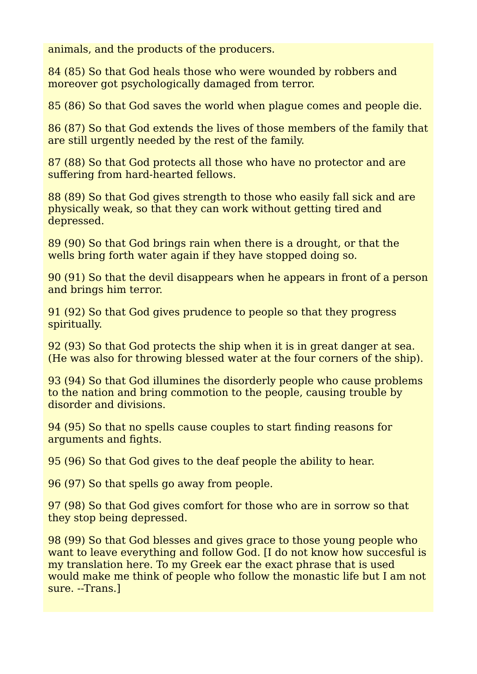animals, and the products of the producers.

84 (85) So that God heals those who were wounded by robbers and moreover got psychologically damaged from terror.

85 (86) So that God saves the world when plague comes and people die.

86 (87) So that God extends the lives of those members of the family that are still urgently needed by the rest of the family.

87 (88) So that God protects all those who have no protector and are suffering from hard-hearted fellows.

88 (89) So that God gives strength to those who easily fall sick and are physically weak, so that they can work without getting tired and depressed.

89 (90) So that God brings rain when there is a drought, or that the wells bring forth water again if they have stopped doing so.

90 (91) So that the devil disappears when he appears in front of a person and brings him terror.

91 (92) So that God gives prudence to people so that they progress spiritually.

92 (93) So that God protects the ship when it is in great danger at sea. (He was also for throwing blessed water at the four corners of the ship).

93 (94) So that God illumines the disorderly people who cause problems to the nation and bring commotion to the people, causing trouble by disorder and divisions.

94 (95) So that no spells cause couples to start finding reasons for arguments and fights.

95 (96) So that God gives to the deaf people the ability to hear.

96 (97) So that spells go away from people.

97 (98) So that God gives comfort for those who are in sorrow so that they stop being depressed.

98 (99) So that God blesses and gives grace to those young people who want to leave everything and follow God. II do not know how succesful is my translation here. To my Greek ear the exact phrase that is used would make me think of people who follow the monastic life but I am not sure. --Trans.]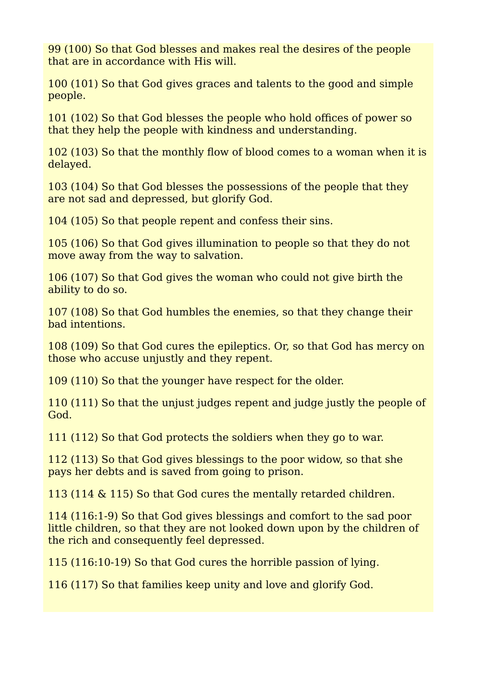99 (100) So that God blesses and makes real the desires of the people that are in accordance with His will.

100 (101) So that God gives graces and talents to the good and simple people.

101 (102) So that God blesses the people who hold offices of power so that they help the people with kindness and understanding.

102 (103) So that the monthly flow of blood comes to a woman when it is delayed.

103 (104) So that God blesses the possessions of the people that they are not sad and depressed, but glorify God.

104 (105) So that people repent and confess their sins.

105 (106) So that God gives illumination to people so that they do not move away from the way to salvation.

106 (107) So that God gives the woman who could not give birth the ability to do so.

107 (108) So that God humbles the enemies, so that they change their bad intentions.

108 (109) So that God cures the epileptics. Or, so that God has mercy on those who accuse unjustly and they repent.

109 (110) So that the younger have respect for the older.

110 (111) So that the unjust judges repent and judge justly the people of God.

111 (112) So that God protects the soldiers when they go to war.

112 (113) So that God gives blessings to the poor widow, so that she pays her debts and is saved from going to prison.

113 (114 & 115) So that God cures the mentally retarded children.

114 (116:1-9) So that God gives blessings and comfort to the sad poor little children, so that they are not looked down upon by the children of the rich and consequently feel depressed.

115 (116:10-19) So that God cures the horrible passion of lying.

116 (117) So that families keep unity and love and glorify God.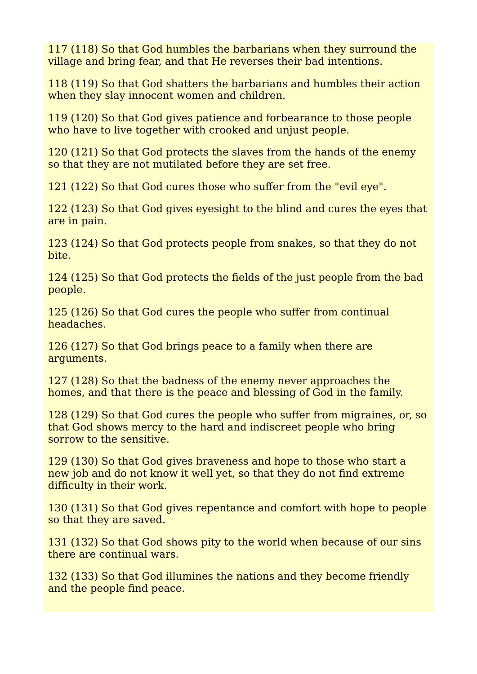117 (118) So that God humbles the barbarians when they surround the village and bring fear, and that He reverses their bad intentions.

118 (119) So that God shatters the barbarians and humbles their action when they slay innocent women and children.

119 (120) So that God gives patience and forbearance to those people who have to live together with crooked and unjust people.

120 (121) So that God protects the slaves from the hands of the enemy so that they are not mutilated before they are set free.

121 (122) So that God cures those who suffer from the "evil eye".

122 (123) So that God gives eyesight to the blind and cures the eyes that are in pain.

123 (124) So that God protects people from snakes, so that they do not bite.

124 (125) So that God protects the fields of the just people from the bad people.

125 (126) So that God cures the people who suffer from continual headaches.

126 (127) So that God brings peace to a family when there are arguments.

127 (128) So that the badness of the enemy never approaches the homes, and that there is the peace and blessing of God in the family.

128 (129) So that God cures the people who suffer from migraines, or, so that God shows mercy to the hard and indiscreet people who bring sorrow to the sensitive.

129 (130) So that God gives braveness and hope to those who start a new job and do not know it well yet, so that they do not find extreme difficulty in their work.

130 (131) So that God gives repentance and comfort with hope to people so that they are saved.

131 (132) So that God shows pity to the world when because of our sins there are continual wars.

132 (133) So that God illumines the nations and they become friendly and the people find peace.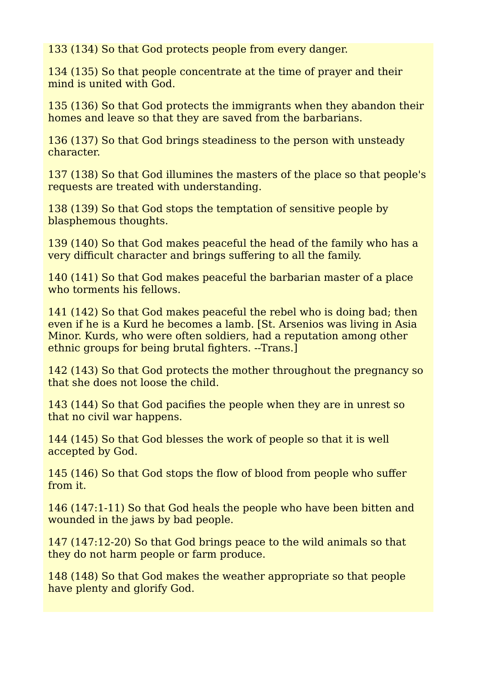133 (134) So that God protects people from every danger.

134 (135) So that people concentrate at the time of prayer and their mind is united with God.

135 (136) So that God protects the immigrants when they abandon their homes and leave so that they are saved from the barbarians.

136 (137) So that God brings steadiness to the person with unsteady character.

137 (138) So that God illumines the masters of the place so that people's requests are treated with understanding.

138 (139) So that God stops the temptation of sensitive people by blasphemous thoughts.

139 (140) So that God makes peaceful the head of the family who has a very difficult character and brings suffering to all the family.

140 (141) So that God makes peaceful the barbarian master of a place who torments his fellows.

141 (142) So that God makes peaceful the rebel who is doing bad; then even if he is a Kurd he becomes a lamb. [St. Arsenios was living in Asia Minor. Kurds, who were often soldiers, had a reputation among other ethnic groups for being brutal fighters. --Trans.]

142 (143) So that God protects the mother throughout the pregnancy so that she does not loose the child.

143 (144) So that God pacifies the people when they are in unrest so that no civil war happens.

144 (145) So that God blesses the work of people so that it is well accepted by God.

145 (146) So that God stops the flow of blood from people who suffer from it.

146 (147:1-11) So that God heals the people who have been bitten and wounded in the jaws by bad people.

147 (147:12-20) So that God brings peace to the wild animals so that they do not harm people or farm produce.

148 (148) So that God makes the weather appropriate so that people have plenty and glorify God.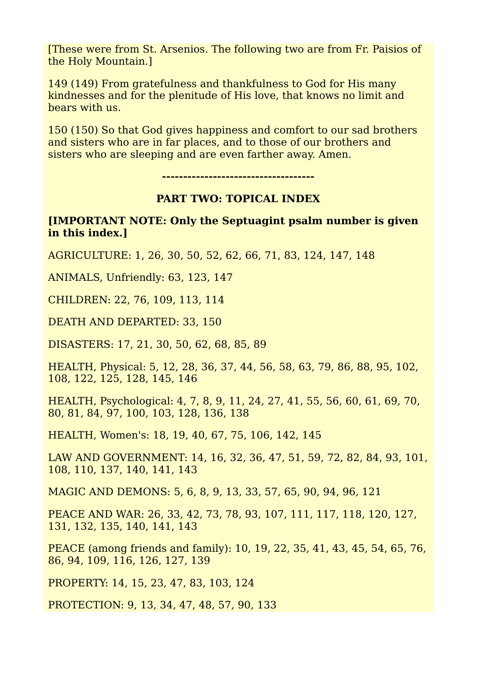[These were from St. Arsenios. The following two are from Fr. Paisios of the Holy Mountain.]

149 (149) From gratefulness and thankfulness to God for His many kindnesses and for the plenitude of His love, that knows no limit and bears with us.

150 (150) So that God gives happiness and comfort to our sad brothers and sisters who are in far places, and to those of our brothers and sisters who are sleeping and are even farther away. Amen.

**------------------------------------**

## **PART TWO: TOPICAL INDEX**

**[IMPORTANT NOTE: Only the Septuagint psalm number is given in this index.]**

AGRICULTURE: 1, 26, 30, 50, 52, 62, 66, 71, 83, 124, 147, 148

ANIMALS, Unfriendly: 63, 123, 147

CHILDREN: 22, 76, 109, 113, 114

DEATH AND DEPARTED: 33, 150

DISASTERS: 17, 21, 30, 50, 62, 68, 85, 89

HEALTH, Physical: 5, 12, 28, 36, 37, 44, 56, 58, 63, 79, 86, 88, 95, 102, 108, 122, 125, 128, 145, 146

HEALTH, Psychological: 4, 7, 8, 9, 11, 24, 27, 41, 55, 56, 60, 61, 69, 70, 80, 81, 84, 97, 100, 103, 128, 136, 138

HEALTH, Women's: 18, 19, 40, 67, 75, 106, 142, 145

LAW AND GOVERNMENT: 14, 16, 32, 36, 47, 51, 59, 72, 82, 84, 93, 101, 108, 110, 137, 140, 141, 143

MAGIC AND DEMONS: 5, 6, 8, 9, 13, 33, 57, 65, 90, 94, 96, 121

PEACE AND WAR: 26, 33, 42, 73, 78, 93, 107, 111, 117, 118, 120, 127, 131, 132, 135, 140, 141, 143

PEACE (among friends and family): 10, 19, 22, 35, 41, 43, 45, 54, 65, 76, 86, 94, 109, 116, 126, 127, 139

PROPERTY: 14, 15, 23, 47, 83, 103, 124

PROTECTION: 9, 13, 34, 47, 48, 57, 90, 133